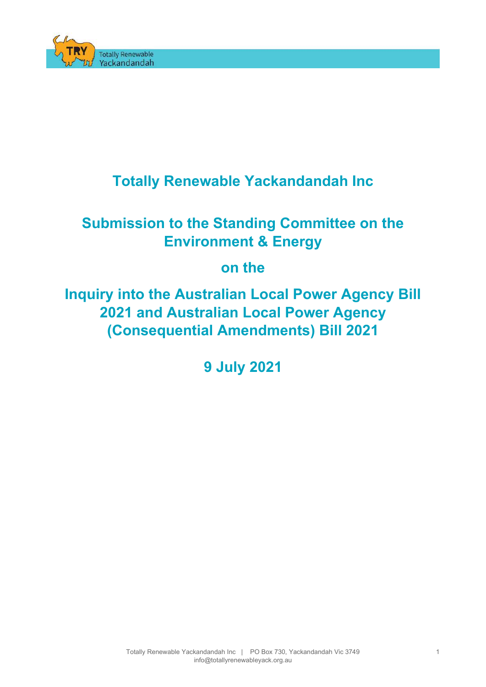

## **Totally Renewable Yackandandah Inc**

# **Submission to the Standing Committee on the Environment & Energy**

## **on the**

**Inquiry into the Australian Local Power Agency Bill 2021 and Australian Local Power Agency (Consequential Amendments) Bill 2021**

**9 July 2021**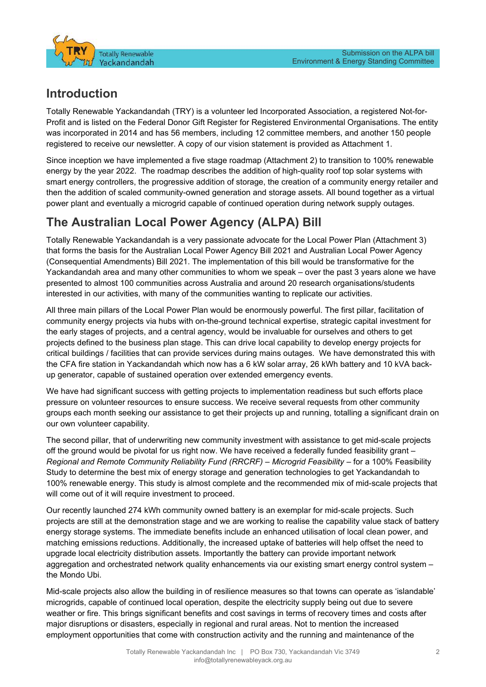

### **Introduction**

Totally Renewable Yackandandah (TRY) is a volunteer led Incorporated Association, a registered Not-for-Profit and is listed on the Federal Donor Gift Register for Registered Environmental Organisations. The entity was incorporated in 2014 and has 56 members, including 12 committee members, and another 150 people registered to receive our newsletter. A copy of our vision statement is provided as Attachment 1.

Since inception we have implemented a five stage roadmap (Attachment 2) to transition to 100% renewable energy by the year 2022. The roadmap describes the addition of high-quality roof top solar systems with smart energy controllers, the progressive addition of storage, the creation of a community energy retailer and then the addition of scaled community-owned generation and storage assets. All bound together as a virtual power plant and eventually a microgrid capable of continued operation during network supply outages.

## **The Australian Local Power Agency (ALPA) Bill**

Totally Renewable Yackandandah is a very passionate advocate for the Local Power Plan (Attachment 3) that forms the basis for the Australian Local Power Agency Bill 2021 and Australian Local Power Agency (Consequential Amendments) Bill 2021. The implementation of this bill would be transformative for the Yackandandah area and many other communities to whom we speak – over the past 3 years alone we have presented to almost 100 communities across Australia and around 20 research organisations/students interested in our activities, with many of the communities wanting to replicate our activities.

All three main pillars of the Local Power Plan would be enormously powerful. The first pillar, facilitation of community energy projects via hubs with on-the-ground technical expertise, strategic capital investment for the early stages of projects, and a central agency, would be invaluable for ourselves and others to get projects defined to the business plan stage. This can drive local capability to develop energy projects for critical buildings / facilities that can provide services during mains outages. We have demonstrated this with the CFA fire station in Yackandandah which now has a 6 kW solar array, 26 kWh battery and 10 kVA backup generator, capable of sustained operation over extended emergency events.

We have had significant success with getting projects to implementation readiness but such efforts place pressure on volunteer resources to ensure success. We receive several requests from other community groups each month seeking our assistance to get their projects up and running, totalling a significant drain on our own volunteer capability.

The second pillar, that of underwriting new community investment with assistance to get mid-scale projects off the ground would be pivotal for us right now. We have received a federally funded feasibility grant – *Regional and Remote Community Reliability Fund (RRCRF) – Microgrid Feasibility* – for a 100% Feasibility Study to determine the best mix of energy storage and generation technologies to get Yackandandah to 100% renewable energy. This study is almost complete and the recommended mix of mid-scale projects that will come out of it will require investment to proceed.

Our recently launched 274 kWh community owned battery is an exemplar for mid-scale projects. Such projects are still at the demonstration stage and we are working to realise the capability value stack of battery energy storage systems. The immediate benefits include an enhanced utilisation of local clean power, and matching emissions reductions. Additionally, the increased uptake of batteries will help offset the need to upgrade local electricity distribution assets. Importantly the battery can provide important network aggregation and orchestrated network quality enhancements via our existing smart energy control system – the Mondo Ubi.

Mid-scale projects also allow the building in of resilience measures so that towns can operate as 'islandable' microgrids, capable of continued local operation, despite the electricity supply being out due to severe weather or fire. This brings significant benefits and cost savings in terms of recovery times and costs after major disruptions or disasters, especially in regional and rural areas. Not to mention the increased employment opportunities that come with construction activity and the running and maintenance of the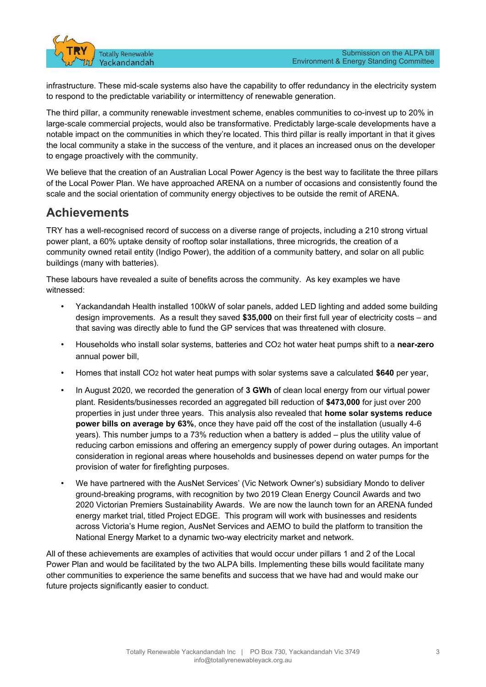

infrastructure. These mid-scale systems also have the capability to offer redundancy in the electricity system to respond to the predictable variability or intermittency of renewable generation.

The third pillar, a community renewable investment scheme, enables communities to co-invest up to 20% in large-scale commercial projects, would also be transformative. Predictably large-scale developments have a notable impact on the communities in which they're located. This third pillar is really important in that it gives the local community a stake in the success of the venture, and it places an increased onus on the developer to engage proactively with the community.

We believe that the creation of an Australian Local Power Agency is the best way to facilitate the three pillars of the Local Power Plan. We have approached ARENA on a number of occasions and consistently found the scale and the social orientation of community energy objectives to be outside the remit of ARENA.

### **Achievements**

TRY has a well-recognised record of success on a diverse range of projects, including a 210 strong virtual power plant, a 60% uptake density of rooftop solar installations, three microgrids, the creation of a community owned retail entity (Indigo Power), the addition of a community battery, and solar on all public buildings (many with batteries).

These labours have revealed a suite of benefits across the community. As key examples we have witnessed:

- Yackandandah Health installed 100kW of solar panels, added LED lighting and added some building design improvements. As a result they saved **\$35,000** on their first full year of electricity costs – and that saving was directly able to fund the GP services that was threatened with closure.
- Households who install solar systems, batteries and CO2 hot water heat pumps shift to a **near-zero** annual power bill,
- Homes that install CO2 hot water heat pumps with solar systems save a calculated **\$640** per year,
- In August 2020, we recorded the generation of **3 GWh** of clean local energy from our virtual power plant. Residents/businesses recorded an aggregated bill reduction of **\$473,000** for just over 200 properties in just under three years. This analysis also revealed that **home solar systems reduce power bills on average by 63%**, once they have paid off the cost of the installation (usually 4-6 years). This number jumps to a 73% reduction when a battery is added – plus the utility value of reducing carbon emissions and offering an emergency supply of power during outages. An important consideration in regional areas where households and businesses depend on water pumps for the provision of water for firefighting purposes.
- We have partnered with the AusNet Services' (Vic Network Owner's) subsidiary Mondo to deliver ground-breaking programs, with recognition by two 2019 Clean Energy Council Awards and two 2020 Victorian Premiers Sustainability Awards. We are now the launch town for an ARENA funded energy market trial, titled Project EDGE. This program will work with businesses and residents across Victoria's Hume region, AusNet Services and AEMO to build the platform to transition the National Energy Market to a dynamic two-way electricity market and network.

All of these achievements are examples of activities that would occur under pillars 1 and 2 of the Local Power Plan and would be facilitated by the two ALPA bills. Implementing these bills would facilitate many other communities to experience the same benefits and success that we have had and would make our future projects significantly easier to conduct.